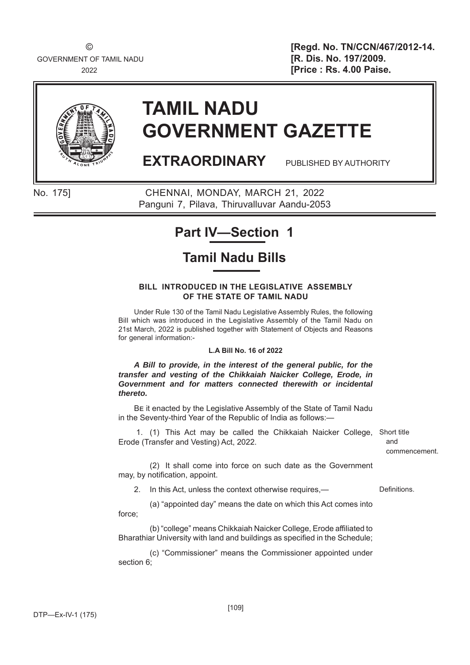GOVERNMENT OF TAMIL NADU **EXECUTE: [R. Dis. No. 197/2009.** 

© **[Regd. No. TN/CCN/467/2012-14.** <sup>2022</sup> **[Price : Rs. 4.00 Paise**.



# **TAMIL NADU GOVERNMENT GAZETTE**

**EXTRAORDINARY** PUBLISHED BY AUTHORITY

No. 175] CHENNAI, MONDAY, MARCH 21, 2022 Panguni 7, Pilava, Thiruvalluvar Aandu-2053

# **Part IV—Section 1**

# **Tamil Nadu Bills**

#### **BILL****INTRODUCED IN THE LEGISLATIVE ASSEMBLY OF THE STATE OF TAMIL NADU**

Under Rule 130 of the Tamil Nadu Legislative Assembly Rules, the following Bill which was introduced in the Legislative Assembly of the Tamil Nadu on 21st March, 2022 is published together with Statement of Objects and Reasons for general information:-

#### **L.A Bill No. 16 of 2022**

*A Bill to provide, in the interest of the general public, for the transfer and vesting of the Chikkaiah Naicker College, Erode, in Government and for matters connected therewith or incidental thereto.*

BE it enacted by the Legislative Assembly of the State of Tamil Nadu in the Seventy-third Year of the Republic of India as follows:—

 1. (1) This Act may be called the Chikkaiah Naicker College, Erode (Transfer and Vesting) Act, 2022.

Short title and commencement.

 (2) It shall come into force on such date as the Government may, by notification, appoint.

2. In this Act, unless the context otherwise requires,—

 (a) "appointed day" means the date on which this Act comes into force;

(b) "college" means Chikkaiah Naicker College, Erode affiliated to Bharathiar University with land and buildings as specified in the Schedule;

 (c) "Commissioner" means the Commissioner appointed under section 6;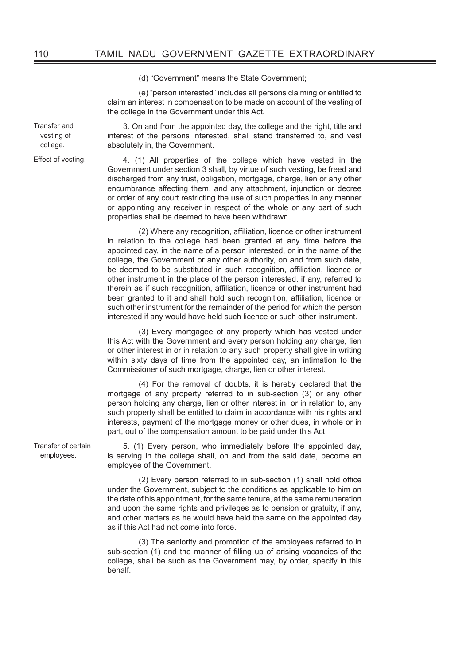(d) "Government" means the State Government;

 (e) "person interested" includes all persons claiming or entitled to claim an interest in compensation to be made on account of the vesting of the college in the Government under this Act.

3. On and from the appointed day, the college and the right, title and interest of the persons interested, shall stand transferred to, and vest absolutely in, the Government.

Effect of vesting. 4. (1) All properties of the college which have vested in the Government under section 3 shall, by virtue of such vesting, be freed and discharged from any trust, obligation, mortgage, charge, lien or any other encumbrance affecting them, and any attachment, injunction or decree or order of any court restricting the use of such properties in any manner or appointing any receiver in respect of the whole or any part of such properties shall be deemed to have been withdrawn.

> (2) Where any recognition, affiliation, licence or other instrument in relation to the college had been granted at any time before the appointed day, in the name of a person interested, or in the name of the college, the Government or any other authority, on and from such date, be deemed to be substituted in such recognition, affiliation, licence or other instrument in the place of the person interested, if any, referred to therein as if such recognition, affiliation, licence or other instrument had been granted to it and shall hold such recognition, affiliation, licence or such other instrument for the remainder of the period for which the person interested if any would have held such licence or such other instrument.

> (3) Every mortgagee of any property which has vested under this Act with the Government and every person holding any charge, lien or other interest in or in relation to any such property shall give in writing within sixty days of time from the appointed day, an intimation to the Commissioner of such mortgage, charge, lien or other interest.

> (4) For the removal of doubts, it is hereby declared that the mortgage of any property referred to in sub-section (3) or any other person holding any charge, lien or other interest in, or in relation to, any such property shall be entitled to claim in accordance with his rights and interests, payment of the mortgage money or other dues, in whole or in part, out of the compensation amount to be paid under this Act.

Transfer of certain employees.

5. (1) Every person, who immediately before the appointed day, is serving in the college shall, on and from the said date, become an employee of the Government.

 $(2)$  Every person referred to in sub-section  $(1)$  shall hold office under the Government, subject to the conditions as applicable to him on the date of his appointment, for the same tenure, at the same remuneration and upon the same rights and privileges as to pension or gratuity, if any, and other matters as he would have held the same on the appointed day as if this Act had not come into force.

 (3) The seniority and promotion of the employees referred to in sub-section (1) and the manner of filling up of arising vacancies of the college, shall be such as the Government may, by order, specify in this behalf.

Transfer and vesting of college.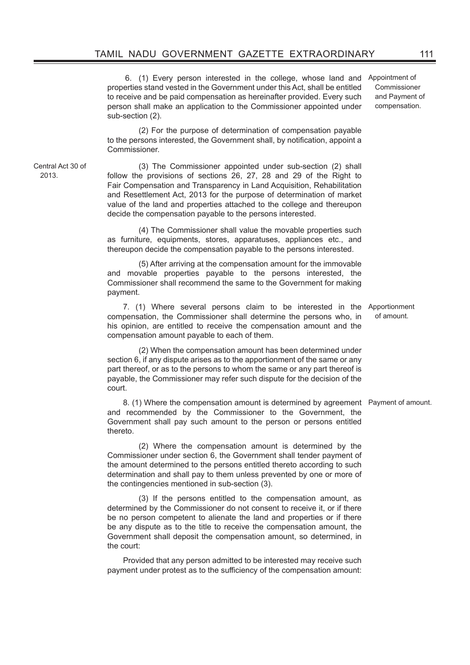6. (1) Every person interested in the college, whose land and properties stand vested in the Government under this Act, shall be entitled to receive and be paid compensation as hereinafter provided. Every such person shall make an application to the Commissioner appointed under sub-section (2).

 (2) For the purpose of determination of compensation payable to the persons interested, the Government shall, by notification, appoint a Commissioner.

Central Act 30 of 2013.

 (3) The Commissioner appointed under sub-section (2) shall follow the provisions of sections 26, 27, 28 and 29 of the Right to Fair Compensation and Transparency in Land Acquisition, Rehabilitation and Resettlement Act, 2013 for the purpose of determination of market value of the land and properties attached to the college and thereupon decide the compensation payable to the persons interested.

 (4) The Commissioner shall value the movable properties such as furniture, equipments, stores, apparatuses, appliances etc., and thereupon decide the compensation payable to the persons interested.

 (5) After arriving at the compensation amount for the immovable and movable properties payable to the persons interested, the Commissioner shall recommend the same to the Government for making payment.

7. (1) Where several persons claim to be interested in the Apportionment compensation, the Commissioner shall determine the persons who, in his opinion, are entitled to receive the compensation amount and the compensation amount payable to each of them.

 (2) When the compensation amount has been determined under section 6, if any dispute arises as to the apportionment of the same or any part thereof, or as to the persons to whom the same or any part thereof is payable, the Commissioner may refer such dispute for the decision of the court.

8. (1) Where the compensation amount is determined by agreement Payment of amount. and recommended by the Commissioner to the Government, the Government shall pay such amount to the person or persons entitled thereto.

 (2) Where the compensation amount is determined by the Commissioner under section 6, the Government shall tender payment of the amount determined to the persons entitled thereto according to such determination and shall pay to them unless prevented by one or more of the contingencies mentioned in sub-section (3).

 (3) If the persons entitled to the compensation amount, as determined by the Commissioner do not consent to receive it, or if there be no person competent to alienate the land and properties or if there be any dispute as to the title to receive the compensation amount, the Government shall deposit the compensation amount, so determined, in the court:

Provided that any person admitted to be interested may receive such payment under protest as to the sufficiency of the compensation amount:

of amount.

Appointment of Commissioner and Payment of compensation.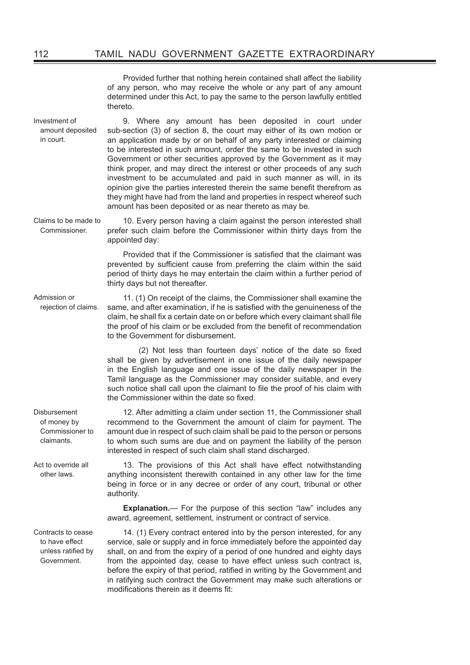Provided further that nothing herein contained shall affect the liability of any person, who may receive the whole or any part of any amount determined under this Act, to pay the same to the person lawfully entitled thereto.

Investment of amount deposited in court. 9. Where any amount has been deposited in court under sub-section (3) of section 8, the court may either of its own motion or an application made by or on behalf of any party interested or claiming to be interested in such amount, order the same to be invested in such Government or other securities approved by the Government as it may think proper, and may direct the interest or other proceeds of any such investment to be accumulated and paid in such manner as will, in its opinion give the parties interested therein the same benefit therefrom as they might have had from the land and properties in respect whereof such amount has been deposited or as near thereto as may be.

Claims to be made to Commissioner.

10. Every person having a claim against the person interested shall prefer such claim before the Commissioner within thirty days from the appointed day:

Provided that if the Commissioner is satisfied that the claimant was prevented by sufficient cause from preferring the claim within the said period of thirty days he may entertain the claim within a further period of thirty days but not thereafter.

11. (1) On receipt of the claims, the Commissioner shall examine the same, and after examination, if he is satisfied with the genuineness of the claim, he shall fix a certain date on or before which every claimant shall file the proof of his claim or be excluded from the benefit of recommendation to the Government for disbursement.

(2) Not less than fourteen days' notice of the date so fixed shall be given by advertisement in one issue of the daily newspaper in the English language and one issue of the daily newspaper in the Tamil language as the Commissioner may consider suitable, and every such notice shall call upon the claimant to file the proof of his claim with the Commissioner within the date so fixed.

12. After admitting a claim under section 11, the Commissioner shall recommend to the Government the amount of claim for payment. The amount due in respect of such claim shall be paid to the person or persons to whom such sums are due and on payment the liability of the person interested in respect of such claim shall stand discharged.

13. The provisions of this Act shall have effect notwithstanding anything inconsistent therewith contained in any other law for the time being in force or in any decree or order of any court, tribunal or other authority.

**Explanation.**— For the purpose of this section "law" includes any award, agreement, settlement, instrument or contract of service.

14. (1) Every contract entered into by the person interested, for any service, sale or supply and in force immediately before the appointed day shall, on and from the expiry of a period of one hundred and eighty days from the appointed day, cease to have effect unless such contract is, before the expiry of that period, ratified in writing by the Government and in ratifying such contract the Government may make such alterations or modifications therein as it deems fit:

Contracts to cease to have effect unless ratified by Government.

Admission or rejection of claims.

**Disbursement** of money by Commissioner to claimants.

Act to override all other laws.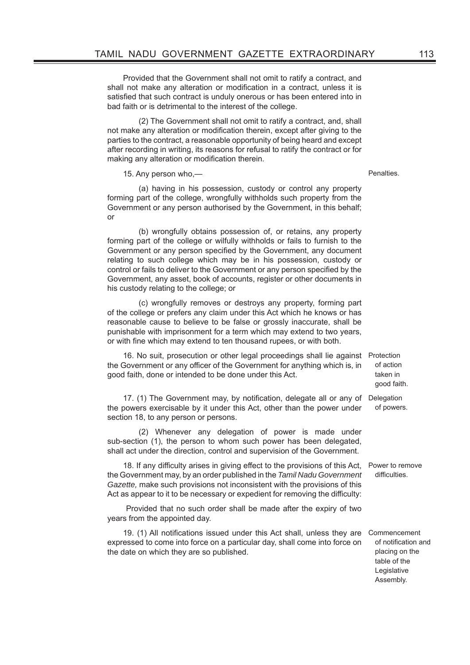Provided that the Government shall not omit to ratify a contract, and shall not make any alteration or modification in a contract, unless it is satisfied that such contract is unduly onerous or has been entered into in bad faith or is detrimental to the interest of the college.

 (2) The Government shall not omit to ratify a contract, and, shall not make any alteration or modification therein, except after giving to the parties to the contract, a reasonable opportunity of being heard and except after recording in writing, its reasons for refusal to ratify the contract or for making any alteration or modification therein.

15. Any person who,— example and the set of the penalties.

 (a) having in his possession, custody or control any property forming part of the college, wrongfully withholds such property from the Government or any person authorised by the Government, in this behalf; or

 (b) wrongfully obtains possession of, or retains, any property forming part of the college or wilfully withholds or fails to furnish to the Government or any person specified by the Government, any document relating to such college which may be in his possession, custody or control or fails to deliver to the Government or any person specified by the Government, any asset, book of accounts, register or other documents in his custody relating to the college; or

 (c) wrongfully removes or destroys any property, forming part of the college or prefers any claim under this Act which he knows or has reasonable cause to believe to be false or grossly inaccurate, shall be punishable with imprisonment for a term which may extend to two years, or with fine which may extend to ten thousand rupees, or with both.

16. No suit, prosecution or other legal proceedings shall lie against the Government or any officer of the Government for anything which is, in good faith, done or intended to be done under this Act. Protection of action taken in good faith.

17. (1) The Government may, by notification, delegate all or any of Delegation the powers exercisable by it under this Act, other than the power under section 18, to any person or persons. of powers.

 (2) Whenever any delegation of power is made under sub-section (1), the person to whom such power has been delegated, shall act under the direction, control and supervision of the Government.

18. If any difficulty arises in giving effect to the provisions of this Act, Power to remove the Government may, by an order published in the *Tamil Nadu Government Gazette,* make such provisions not inconsistent with the provisions of this Act as appear to it to be necessary or expedient for removing the difficulty:

 Provided that no such order shall be made after the expiry of two years from the appointed day.

19. (1) All notifications issued under this Act shall, unless they are expressed to come into force on a particular day, shall come into force on the date on which they are so published. Commencement of notification and placing on the table of the

difficulties.

Legislative Assembly.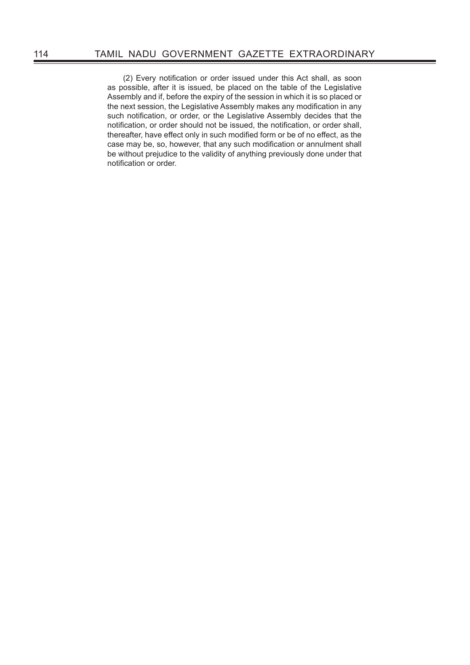(2) Every notification or order issued under this Act shall, as soon as possible, after it is issued, be placed on the table of the Legislative Assembly and if, before the expiry of the session in which it is so placed or the next session, the Legislative Assembly makes any modification in any such notification, or order, or the Legislative Assembly decides that the notification, or order should not be issued, the notification, or order shall, thereafter, have effect only in such modified form or be of no effect, as the case may be, so, however, that any such modification or annulment shall be without prejudice to the validity of anything previously done under that notification or order.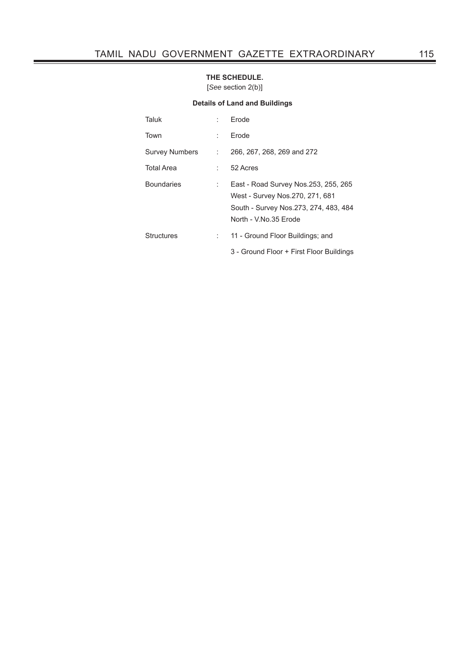#### **THE SCHEDULE.**

[*See* section 2(b)]

#### **Details of Land and Buildings**

| Taluk                 |    | Frode                                                                                                                                      |
|-----------------------|----|--------------------------------------------------------------------------------------------------------------------------------------------|
| Town                  | t. | Frode                                                                                                                                      |
| <b>Survey Numbers</b> | ÷  | 266, 267, 268, 269 and 272                                                                                                                 |
| <b>Total Area</b>     |    | 52 Acres                                                                                                                                   |
| <b>Boundaries</b>     | ÷  | East - Road Survey Nos. 253, 255, 265<br>West - Survey Nos.270, 271, 681<br>South - Survey Nos.273, 274, 483, 484<br>North - V.No.35 Erode |
| Structures            |    | 11 - Ground Floor Buildings; and                                                                                                           |
|                       |    | 3 - Ground Floor + First Floor Buildings                                                                                                   |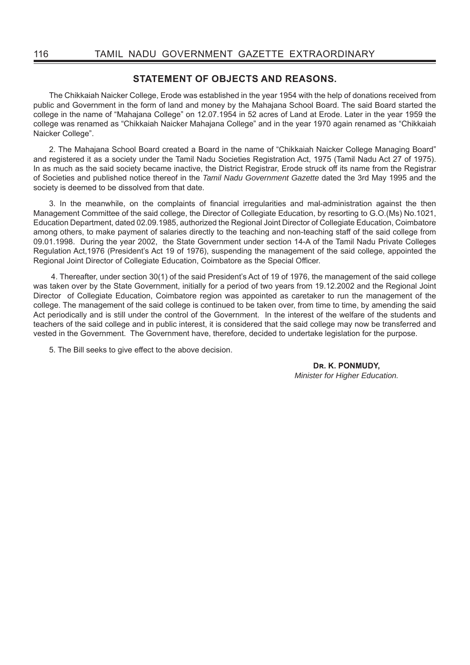### **STATEMENT OF OBJECTS AND REASONS.**

The Chikkaiah Naicker College, Erode was established in the year 1954 with the help of donations received from public and Government in the form of land and money by the Mahajana School Board. The said Board started the college in the name of "Mahajana College" on 12.07.1954 in 52 acres of Land at Erode. Later in the year 1959 the college was renamed as "Chikkaiah Naicker Mahajana College" and in the year 1970 again renamed as "Chikkaiah Naicker College".

2. The Mahajana School Board created a Board in the name of "Chikkaiah Naicker College Managing Board" and registered it as a society under the Tamil Nadu Societies Registration Act, 1975 (Tamil Nadu Act 27 of 1975). In as much as the said society became inactive, the District Registrar, Erode struck off its name from the Registrar of Societies and published notice thereof in the *Tamil Nadu Government Gazette* dated the 3rd May 1995 and the society is deemed to be dissolved from that date.

3. In the meanwhile, on the complaints of financial irregularities and mal-administration against the then Management Committee of the said college, the Director of Collegiate Education, by resorting to G.O.(Ms) No.1021, Education Department, dated 02.09.1985, authorized the Regional Joint Director of Collegiate Education, Coimbatore among others, to make payment of salaries directly to the teaching and non-teaching staff of the said college from 09.01.1998. During the year 2002, the State Government under section 14-A of the Tamil Nadu Private Colleges Regulation Act,1976 (President's Act 19 of 1976), suspending the management of the said college, appointed the Regional Joint Director of Collegiate Education, Coimbatore as the Special Officer.

 4. Thereafter, under section 30(1) of the said President's Act of 19 of 1976, the management of the said college was taken over by the State Government, initially for a period of two years from 19.12.2002 and the Regional Joint Director of Collegiate Education, Coimbatore region was appointed as caretaker to run the management of the college. The management of the said college is continued to be taken over, from time to time, by amending the said Act periodically and is still under the control of the Government. In the interest of the welfare of the students and teachers of the said college and in public interest, it is considered that the said college may now be transferred and vested in the Government. The Government have, therefore, decided to undertake legislation for the purpose.

5. The Bill seeks to give effect to the above decision.

DR. K. PONMUDY, *Minister for Higher Education.*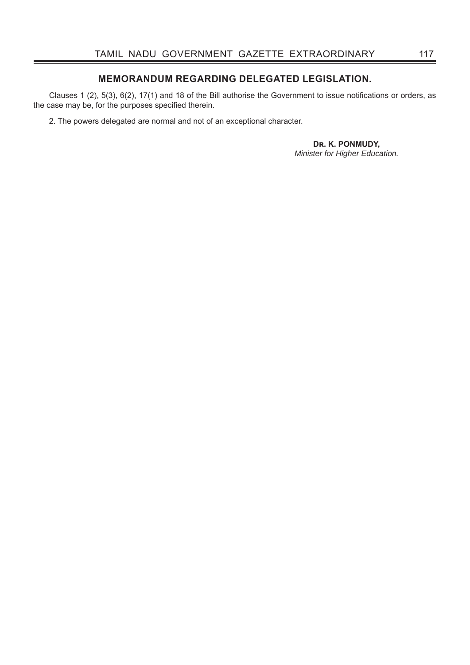## **MEMORANDUM REGARDING DELEGATED LEGISLATION.**

Clauses 1 (2),  $5(3)$ ,  $6(2)$ ,  $17(1)$  and 18 of the Bill authorise the Government to issue notifications or orders, as the case may be, for the purposes specified therein.

2. The powers delegated are normal and not of an exceptional character.

DR. K. PONMUDY, *Minister for Higher Education.*